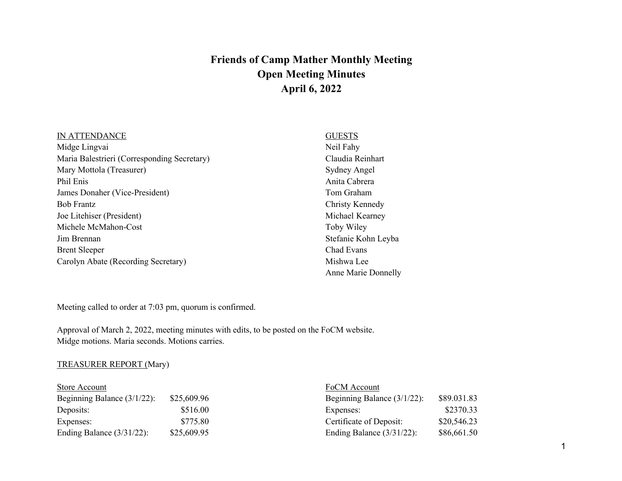# **Friends of Camp Mather Monthly Meeting Open Meeting Minutes April 6, 2022**

#### IN ATTENDANCE

Midge Lingvai Maria Balestrieri (Corresponding Secretary) Mary Mottola (Treasurer) Phil Enis James Donaher (Vice-President) Bob Frantz Joe Litehiser (President) Michele McMahon-Cost Jim Brennan Brent Sleeper Carolyn Abate (Recording Secretary)

**GUESTS** Neil Fahy Claudia Reinhart Sydney Angel Anita Cabrera Tom Graham Christy Kennedy Michael Kearney Toby Wiley Stefanie Kohn Leyba Chad Evans Mishwa Lee Anne Marie Donnelly

Meeting called to order at 7:03 pm, quorum is confirmed.

Approval of March 2, 2022, meeting minutes with edits, to be posted on the FoCM website. Midge motions. Maria seconds. Motions carries.

## TREASURER REPORT (Mary)

| Store Account                  |             | FoCM Account                   |             |  |
|--------------------------------|-------------|--------------------------------|-------------|--|
| Beginning Balance $(3/1/22)$ : | \$25,609.96 | Beginning Balance $(3/1/22)$ : | \$89.031.83 |  |
| Deposits:                      | \$516.00    | Expenses:                      | \$2370.33   |  |
| Expenses:                      | \$775.80    | Certificate of Deposit:        | \$20,546.23 |  |
| Ending Balance $(3/31/22)$ :   | \$25,609.95 | Ending Balance $(3/31/22)$ :   | \$86,661.50 |  |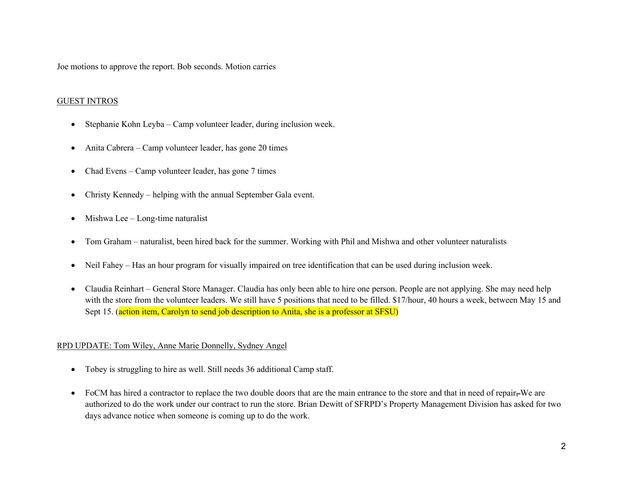Joe motions to approve the report. Bob seconds. Motion carries

## GUEST INTROS

- Stephanie Kohn Leyba Camp volunteer leader, during inclusion week.
- Anita Cabrera Camp volunteer leader, has gone 20 times
- Chad Evens Camp volunteer leader, has gone 7 times
- Christy Kennedy helping with the annual September Gala event.
- Mishwa Lee Long-time naturalist
- Tom Graham naturalist, been hired back for the summer. Working with Phil and Mishwa and other volunteer naturalists
- Neil Fahey Has an hour program for visually impaired on tree identification that can be used during inclusion week.
- Claudia Reinhart General Store Manager. Claudia has only been able to hire one person. People are not applying. She may need help with the store from the volunteer leaders. We still have 5 positions that need to be filled. \$17/hour, 40 hours a week, between May 15 and Sept 15. (action item, Carolyn to send job description to Anita, she is a professor at SFSU)

#### RPD UPDATE: Tom Wiley, Anne Marie Donnelly, Sydney Angel

- Tobey is struggling to hire as well. Still needs 36 additional Camp staff.
- FoCM has hired a contractor to replace the two double doors that are the main entrance to the store and that in need of repair $=$ We are authorized to do the work under our contract to run the store. Brian Dewitt of SFRPD's Property Management Division has asked for two days advance notice when someone is coming up to do the work.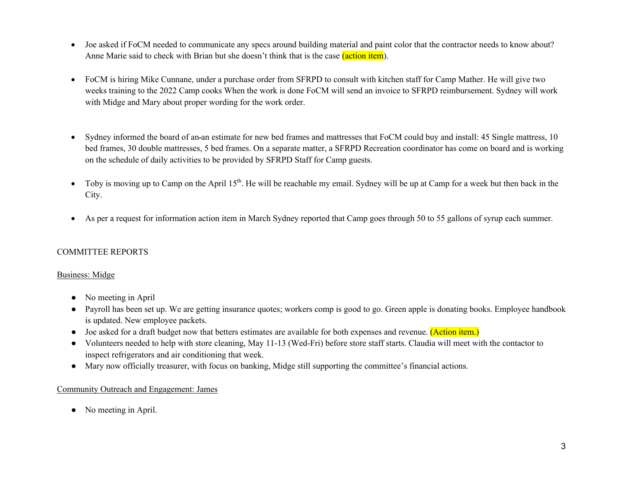- Joe asked if FoCM needed to communicate any specs around building material and paint color that the contractor needs to know about? Anne Marie said to check with Brian but she doesn't think that is the case (action item).
- FoCM is hiring Mike Cunnane, under a purchase order from SFRPD to consult with kitchen staff for Camp Mather. He will give two weeks training to the 2022 Camp cooks When the work is done FoCM will send an invoice to SFRPD reimbursement. Sydney will work with Midge and Mary about proper wording for the work order.
- Sydney informed the board of an-an estimate for new bed frames and mattresses that FoCM could buy and install: 45 Single mattress, 10 bed frames, 30 double mattresses, 5 bed frames. On a separate matter, a SFRPD Recreation coordinator has come on board and is working on the schedule of daily activities to be provided by SFRPD Staff for Camp guests.
- Toby is moving up to Camp on the April 15<sup>th</sup>. He will be reachable my email. Sydney will be up at Camp for a week but then back in the City.
- As per a request for information action item in March Sydney reported that Camp goes through 50 to 55 gallons of syrup each summer.

## COMMITTEE REPORTS

#### Business: Midge

- No meeting in April
- Payroll has been set up. We are getting insurance quotes; workers comp is good to go. Green apple is donating books. Employee handbook is updated. New employee packets.
- Joe asked for a draft budget now that betters estimates are available for both expenses and revenue. (Action item.)
- Volunteers needed to help with store cleaning, May 11-13 (Wed-Fri) before store staff starts. Claudia will meet with the contactor to inspect refrigerators and air conditioning that week.
- Mary now officially treasurer, with focus on banking, Midge still supporting the committee's financial actions.

#### Community Outreach and Engagement: James

• No meeting in April.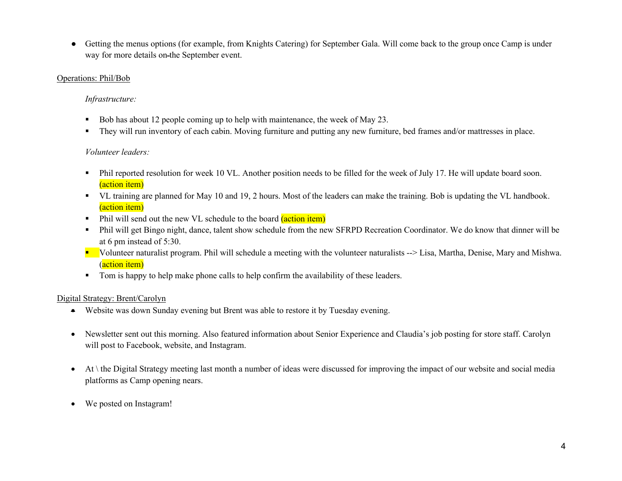● Getting the menus options (for example, from Knights Catering) for September Gala. Will come back to the group once Camp is under way for more details on the September event.

## Operations: Phil/Bob

# *Infrastructure:*

- Bob has about 12 people coming up to help with maintenance, the week of May 23.
- They will run inventory of each cabin. Moving furniture and putting any new furniture, bed frames and/or mattresses in place.

# *Volunteer leaders:*

- Phil reported resolution for week 10 VL. Another position needs to be filled for the week of July 17. He will update board soon. (action item)
- VL training are planned for May 10 and 19, 2 hours. Most of the leaders can make the training. Bob is updating the VL handbook. (action item)
- Phil will send out the new VL schedule to the board *(action item)*
- Phil will get Bingo night, dance, talent show schedule from the new SFRPD Recreation Coordinator. We do know that dinner will be at 6 pm instead of 5:30.
- Volunteer naturalist program. Phil will schedule a meeting with the volunteer naturalists --> Lisa, Martha, Denise, Mary and Mishwa. (action item)
- Tom is happy to help make phone calls to help confirm the availability of these leaders.

# Digital Strategy: Brent/Carolyn

- Website was down Sunday evening but Brent was able to restore it by Tuesday evening.
- Newsletter sent out this morning. Also featured information about Senior Experience and Claudia's job posting for store staff. Carolyn will post to Facebook, website, and Instagram.
- At \ the Digital Strategy meeting last month a number of ideas were discussed for improving the impact of our website and social media platforms as Camp opening nears.
- We posted on Instagram!